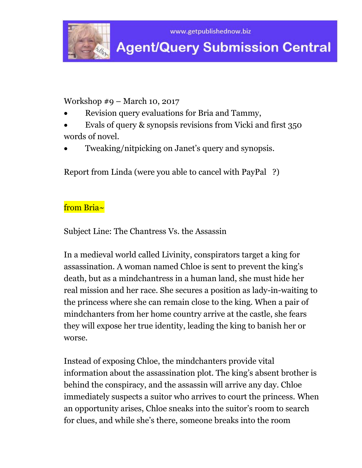



Workshop #9 – March 10, 2017

- Revision query evaluations for Bria and Tammy,
- Evals of query & synopsis revisions from Vicki and first 350 words of novel.
- Tweaking/nitpicking on Janet's query and synopsis.

Report from Linda (were you able to cancel with PayPal ?)

# from Bria~

Subject Line: The Chantress Vs. the Assassin

In a medieval world called Livinity, conspirators target a king for assassination. A woman named Chloe is sent to prevent the king's death, but as a mindchantress in a human land, she must hide her real mission and her race. She secures a position as lady-in-waiting to the princess where she can remain close to the king. When a pair of mindchanters from her home country arrive at the castle, she fears they will expose her true identity, leading the king to banish her or worse.

Instead of exposing Chloe, the mindchanters provide vital information about the assassination plot. The king's absent brother is behind the conspiracy, and the assassin will arrive any day. Chloe immediately suspects a suitor who arrives to court the princess. When an opportunity arises, Chloe sneaks into the suitor's room to search for clues, and while she's there, someone breaks into the room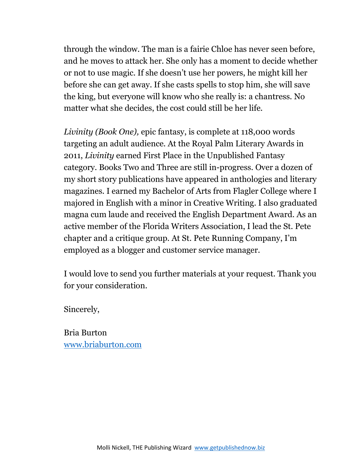through the window. The man is a fairie Chloe has never seen before, and he moves to attack her. She only has a moment to decide whether or not to use magic. If she doesn't use her powers, he might kill her before she can get away. If she casts spells to stop him, she will save the king, but everyone will know who she really is: a chantress. No matter what she decides, the cost could still be her life.

*Livinity (Book One),* epic fantasy, is complete at 118,000 words targeting an adult audience. At the Royal Palm Literary Awards in 2011, *Livinity* earned First Place in the Unpublished Fantasy category. Books Two and Three are still in-progress. Over a dozen of my short story publications have appeared in anthologies and literary magazines. I earned my Bachelor of Arts from Flagler College where I majored in English with a minor in Creative Writing. I also graduated magna cum laude and received the English Department Award. As an active member of the Florida Writers Association, I lead the St. Pete chapter and a critique group. At St. Pete Running Company, I'm employed as a blogger and customer service manager.

I would love to send you further materials at your request. Thank you for your consideration.

Sincerely,

Bria Burton [www.briaburton.com](http://www.briaburton.com/)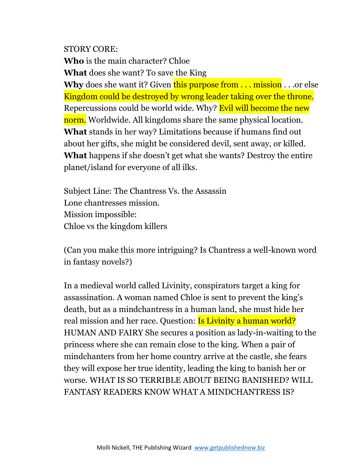STORY CORE:

**Who** is the main character? Chloe **What** does she want? To save the King Why does she want it? Given this purpose from . . . mission . . .or else Kingdom could be destroyed by wrong leader taking over the throne. Repercussions could be world wide. Why? Evil will become the new norm. Worldwide. All kingdoms share the same physical location. **What** stands in her way? Limitations because if humans find out about her gifts, she might be considered devil, sent away, or killed. **What** happens if she doesn't get what she wants? Destroy the entire planet/island for everyone of all ilks.

Subject Line: The Chantress Vs. the Assassin Lone chantresses mission. Mission impossible: Chloe vs the kingdom killers

(Can you make this more intriguing? Is Chantress a well-known word in fantasy novels?)

In a medieval world called Livinity, conspirators target a king for assassination. A woman named Chloe is sent to prevent the king's death, but as a mindchantress in a human land, she must hide her real mission and her race. Question: **Is Livinity a human world?** HUMAN AND FAIRY She secures a position as lady-in-waiting to the princess where she can remain close to the king. When a pair of mindchanters from her home country arrive at the castle, she fears they will expose her true identity, leading the king to banish her or worse. WHAT IS SO TERRIBLE ABOUT BEING BANISHED? WILL FANTASY READERS KNOW WHAT A MINDCHANTRESS IS?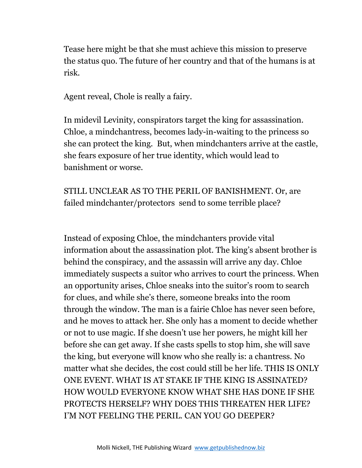Tease here might be that she must achieve this mission to preserve the status quo. The future of her country and that of the humans is at risk.

Agent reveal, Chole is really a fairy.

In midevil Levinity, conspirators target the king for assassination. Chloe, a mindchantress, becomes lady-in-waiting to the princess so she can protect the king. But, when mindchanters arrive at the castle, she fears exposure of her true identity, which would lead to banishment or worse.

STILL UNCLEAR AS TO THE PERIL OF BANISHMENT. Or, are failed mindchanter/protectors send to some terrible place?

Instead of exposing Chloe, the mindchanters provide vital information about the assassination plot. The king's absent brother is behind the conspiracy, and the assassin will arrive any day. Chloe immediately suspects a suitor who arrives to court the princess. When an opportunity arises, Chloe sneaks into the suitor's room to search for clues, and while she's there, someone breaks into the room through the window. The man is a fairie Chloe has never seen before, and he moves to attack her. She only has a moment to decide whether or not to use magic. If she doesn't use her powers, he might kill her before she can get away. If she casts spells to stop him, she will save the king, but everyone will know who she really is: a chantress. No matter what she decides, the cost could still be her life. THIS IS ONLY ONE EVENT. WHAT IS AT STAKE IF THE KING IS ASSINATED? HOW WOULD EVERYONE KNOW WHAT SHE HAS DONE IF SHE PROTECTS HERSELF? WHY DOES THIS THREATEN HER LIFE? I'M NOT FEELING THE PERIL. CAN YOU GO DEEPER?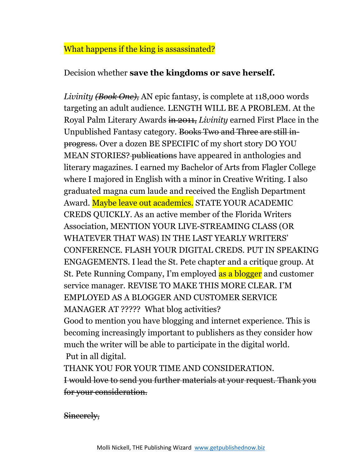## What happens if the king is assassinated?

### Decision whether **save the kingdoms or save herself.**

*Livinity (Book One),* AN epic fantasy, is complete at 118,000 words targeting an adult audience. LENGTH WILL BE A PROBLEM. At the Royal Palm Literary Awards in 2011, *Livinity* earned First Place in the Unpublished Fantasy category. Books Two and Three are still inprogress. Over a dozen BE SPECIFIC of my short story DO YOU MEAN STORIES? publications have appeared in anthologies and literary magazines. I earned my Bachelor of Arts from Flagler College where I majored in English with a minor in Creative Writing. I also graduated magna cum laude and received the English Department Award. Maybe leave out academics. STATE YOUR ACADEMIC CREDS QUICKLY. As an active member of the Florida Writers Association, MENTION YOUR LIVE-STREAMING CLASS (OR WHATEVER THAT WAS) IN THE LAST YEARLY WRITERS' CONFERENCE. FLASH YOUR DIGITAL CREDS. PUT IN SPEAKING ENGAGEMENTS. I lead the St. Pete chapter and a critique group. At St. Pete Running Company, I'm employed as a blogger and customer service manager. REVISE TO MAKE THIS MORE CLEAR. I'M EMPLOYED AS A BLOGGER AND CUSTOMER SERVICE MANAGER AT ????? What blog activities?

Good to mention you have blogging and internet experience. This is becoming increasingly important to publishers as they consider how much the writer will be able to participate in the digital world. Put in all digital.

THANK YOU FOR YOUR TIME AND CONSIDERATION. I would love to send you further materials at your request. Thank you for your consideration.

Sincerely,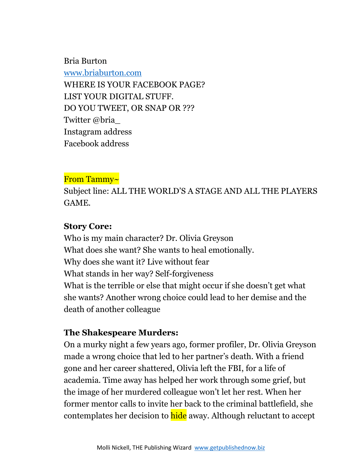Bria Burton [www.briaburton.com](http://www.briaburton.com/) WHERE IS YOUR FACEBOOK PAGE? LIST YOUR DIGITAL STUFF. DO YOU TWEET, OR SNAP OR ??? Twitter @bria\_ Instagram address Facebook address

#### From Tammy~

Subject line: ALL THE WORLD'S A STAGE AND ALL THE PLAYERS GAME.

#### **Story Core:**

Who is my main character? Dr. Olivia Greyson What does she want? She wants to heal emotionally. Why does she want it? Live without fear What stands in her way? Self-forgiveness What is the terrible or else that might occur if she doesn't get what she wants? Another wrong choice could lead to her demise and the death of another colleague

#### **The Shakespeare Murders:**

On a murky night a few years ago, former profiler, Dr. Olivia Greyson made a wrong choice that led to her partner's death. With a friend gone and her career shattered, Olivia left the FBI, for a life of academia. Time away has helped her work through some grief, but the image of her murdered colleague won't let her rest. When her former mentor calls to invite her back to the criminal battlefield, she contemplates her decision to **hide** away. Although reluctant to accept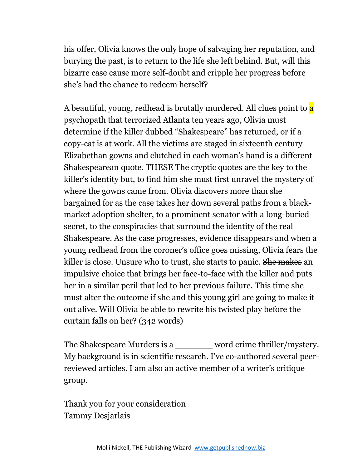his offer, Olivia knows the only hope of salvaging her reputation, and burying the past, is to return to the life she left behind. But, will this bizarre case cause more self-doubt and cripple her progress before she's had the chance to redeem herself?

A beautiful, young, redhead is brutally murdered. All clues point to a psychopath that terrorized Atlanta ten years ago, Olivia must determine if the killer dubbed "Shakespeare" has returned, or if a copy-cat is at work. All the victims are staged in sixteenth century Elizabethan gowns and clutched in each woman's hand is a different Shakespearean quote. THESE The cryptic quotes are the key to the killer's identity but, to find him she must first unravel the mystery of where the gowns came from. Olivia discovers more than she bargained for as the case takes her down several paths from a blackmarket adoption shelter, to a prominent senator with a long-buried secret, to the conspiracies that surround the identity of the real Shakespeare. As the case progresses, evidence disappears and when a young redhead from the coroner's office goes missing, Olivia fears the killer is close. Unsure who to trust, she starts to panic. She makes an impulsive choice that brings her face-to-face with the killer and puts her in a similar peril that led to her previous failure. This time she must alter the outcome if she and this young girl are going to make it out alive. Will Olivia be able to rewrite his twisted play before the curtain falls on her? (342 words)

The Shakespeare Murders is a \_\_\_\_\_\_\_ word crime thriller/mystery. My background is in scientific research. I've co-authored several peerreviewed articles. I am also an active member of a writer's critique group.

Thank you for your consideration Tammy Desjarlais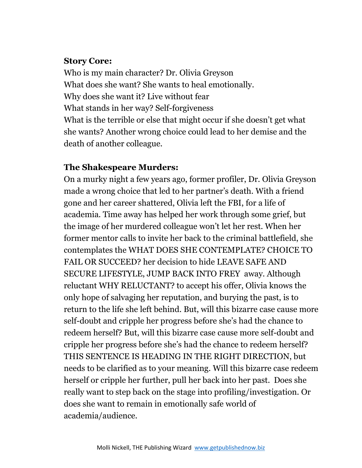## **Story Core:**

Who is my main character? Dr. Olivia Greyson What does she want? She wants to heal emotionally. Why does she want it? Live without fear What stands in her way? Self-forgiveness What is the terrible or else that might occur if she doesn't get what she wants? Another wrong choice could lead to her demise and the death of another colleague.

### **The Shakespeare Murders:**

On a murky night a few years ago, former profiler, Dr. Olivia Greyson made a wrong choice that led to her partner's death. With a friend gone and her career shattered, Olivia left the FBI, for a life of academia. Time away has helped her work through some grief, but the image of her murdered colleague won't let her rest. When her former mentor calls to invite her back to the criminal battlefield, she contemplates the WHAT DOES SHE CONTEMPLATE? CHOICE TO FAIL OR SUCCEED? her decision to hide LEAVE SAFE AND SECURE LIFESTYLE, JUMP BACK INTO FREY away. Although reluctant WHY RELUCTANT? to accept his offer, Olivia knows the only hope of salvaging her reputation, and burying the past, is to return to the life she left behind. But, will this bizarre case cause more self-doubt and cripple her progress before she's had the chance to redeem herself? But, will this bizarre case cause more self-doubt and cripple her progress before she's had the chance to redeem herself? THIS SENTENCE IS HEADING IN THE RIGHT DIRECTION, but needs to be clarified as to your meaning. Will this bizarre case redeem herself or cripple her further, pull her back into her past. Does she really want to step back on the stage into profiling/investigation. Or does she want to remain in emotionally safe world of academia/audience.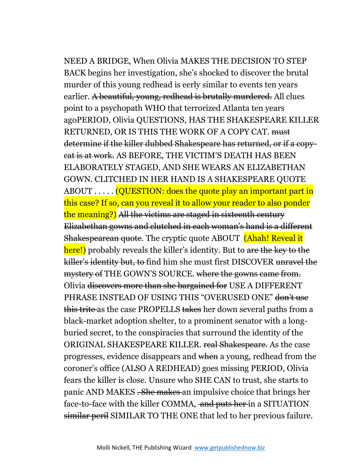NEED A BRIDGE, When Olivia MAKES THE DECISION TO STEP BACK begins her investigation, she's shocked to discover the brutal murder of this young redhead is eerly similar to events ten years earlier. A beautiful, young, redhead is brutally murdered. All clues point to a psychopath WHO that terrorized Atlanta ten years agoPERIOD, Olivia QUESTIONS, HAS THE SHAKESPEARE KILLER RETURNED, OR IS THIS THE WORK OF A COPY CAT. must determine if the killer dubbed Shakespeare has returned, or if a copycat is at work. AS BEFORE, THE VICTIM'S DEATH HAS BEEN ELABORATELY STAGED, AND SHE WEARS AN ELIZABETHAN GOWN. CLITCHED IN HER HAND IS A SHAKESPEARE QUOTE ABOUT . . . . . (QUESTION: does the quote play an important part in this case? If so, can you reveal it to allow your reader to also ponder the meaning?) All the victims are staged in sixteenth century Elizabethan gowns and clutched in each woman's hand is a different Shakespearean quote. The cryptic quote ABOUT (Ahah! Reveal it here!) probably reveals the killer's identity. But to are the key to the killer's identity but, to find him she must first DISCOVER unravel the mystery of THE GOWN'S SOURCE. where the gowns came from. Olivia discovers more than she bargained for USE A DIFFERENT PHRASE INSTEAD OF USING THIS "OVERUSED ONE" don't use this trite as the case PROPELLS takes her down several paths from a black-market adoption shelter, to a prominent senator with a longburied secret, to the conspiracies that surround the identity of the ORIGINAL SHAKESPEARE KILLER. real Shakespeare. As the case progresses, evidence disappears and when a young, redhead from the coroner's office (ALSO A REDHEAD) goes missing PERIOD, Olivia fears the killer is close. Unsure who SHE CAN to trust, she starts to panic AND MAKES . She makes an impulsive choice that brings her face-to-face with the killer COMMA, and puts her in a SITUATION similar peril SIMILAR TO THE ONE that led to her previous failure.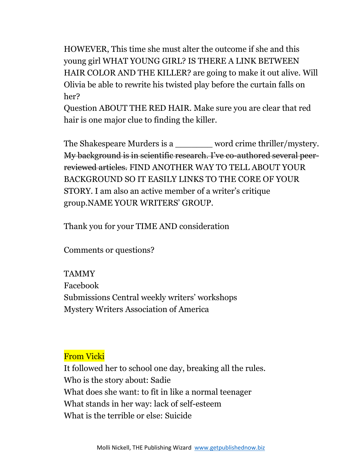HOWEVER, This time she must alter the outcome if she and this young girl WHAT YOUNG GIRL? IS THERE A LINK BETWEEN HAIR COLOR AND THE KILLER? are going to make it out alive. Will Olivia be able to rewrite his twisted play before the curtain falls on her?

Question ABOUT THE RED HAIR. Make sure you are clear that red hair is one major clue to finding the killer.

The Shakespeare Murders is a \_\_\_\_\_\_\_ word crime thriller/mystery. My background is in scientific research. I've co-authored several peerreviewed articles. FIND ANOTHER WAY TO TELL ABOUT YOUR BACKGROUND SO IT EASILY LINKS TO THE CORE OF YOUR STORY. I am also an active member of a writer's critique group.NAME YOUR WRITERS' GROUP.

Thank you for your TIME AND consideration

Comments or questions?

TAMMY Facebook Submissions Central weekly writers' workshops Mystery Writers Association of America

## From Vicki

It followed her to school one day, breaking all the rules. Who is the story about: Sadie What does she want: to fit in like a normal teenager What stands in her way: lack of self-esteem What is the terrible or else: Suicide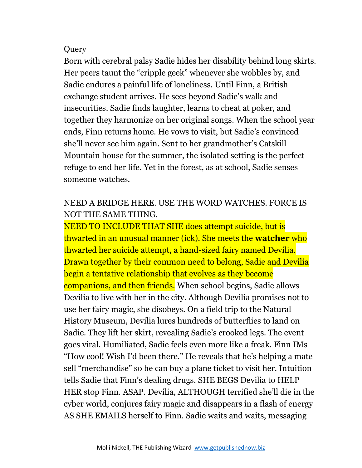### **Query**

Born with cerebral palsy Sadie hides her disability behind long skirts. Her peers taunt the "cripple geek" whenever she wobbles by, and Sadie endures a painful life of loneliness. Until Finn, a British exchange student arrives. He sees beyond Sadie's walk and insecurities. Sadie finds laughter, learns to cheat at poker, and together they harmonize on her original songs. When the school year ends, Finn returns home. He vows to visit, but Sadie's convinced she'll never see him again. Sent to her grandmother's Catskill Mountain house for the summer, the isolated setting is the perfect refuge to end her life. Yet in the forest, as at school, Sadie senses someone watches.

## NEED A BRIDGE HERE. USE THE WORD WATCHES. FORCE IS NOT THE SAME THING.

NEED TO INCLUDE THAT SHE does attempt suicide, but is thwarted in an unusual manner (ick). She meets the **watcher** who thwarted her suicide attempt, a hand-sized fairy named Devilia. Drawn together by their common need to belong, Sadie and Devilia begin a tentative relationship that evolves as they become companions, and then friends. When school begins, Sadie allows Devilia to live with her in the city. Although Devilia promises not to use her fairy magic, she disobeys. On a field trip to the Natural History Museum, Devilia lures hundreds of butterflies to land on Sadie. They lift her skirt, revealing Sadie's crooked legs. The event goes viral. Humiliated, Sadie feels even more like a freak. Finn IMs "How cool! Wish I'd been there." He reveals that he's helping a mate sell "merchandise" so he can buy a plane ticket to visit her. Intuition tells Sadie that Finn's dealing drugs. SHE BEGS Devilia to HELP HER stop Finn. ASAP. Devilia, ALTHOUGH terrified she'll die in the cyber world, conjures fairy magic and disappears in a flash of energy AS SHE EMAILS herself to Finn. Sadie waits and waits, messaging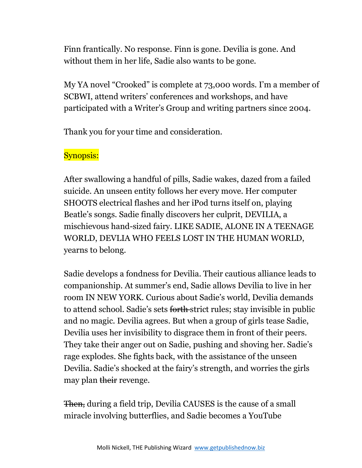Finn frantically. No response. Finn is gone. Devilia is gone. And without them in her life, Sadie also wants to be gone.

My YA novel "Crooked" is complete at 73,000 words. I'm a member of SCBWI, attend writers' conferences and workshops, and have participated with a Writer's Group and writing partners since 2004.

Thank you for your time and consideration.

### Synopsis:

After swallowing a handful of pills, Sadie wakes, dazed from a failed suicide. An unseen entity follows her every move. Her computer SHOOTS electrical flashes and her iPod turns itself on, playing Beatle's songs. Sadie finally discovers her culprit, DEVILIA, a mischievous hand-sized fairy. LIKE SADIE, ALONE IN A TEENAGE WORLD, DEVLIA WHO FEELS LOST IN THE HUMAN WORLD, yearns to belong.

Sadie develops a fondness for Devilia. Their cautious alliance leads to companionship. At summer's end, Sadie allows Devilia to live in her room IN NEW YORK. Curious about Sadie's world, Devilia demands to attend school. Sadie's sets forth strict rules; stay invisible in public and no magic. Devilia agrees. But when a group of girls tease Sadie, Devilia uses her invisibility to disgrace them in front of their peers. They take their anger out on Sadie, pushing and shoving her. Sadie's rage explodes. She fights back, with the assistance of the unseen Devilia. Sadie's shocked at the fairy's strength, and worries the girls may plan their revenge.

Then, during a field trip, Devilia CAUSES is the cause of a small miracle involving butterflies, and Sadie becomes a YouTube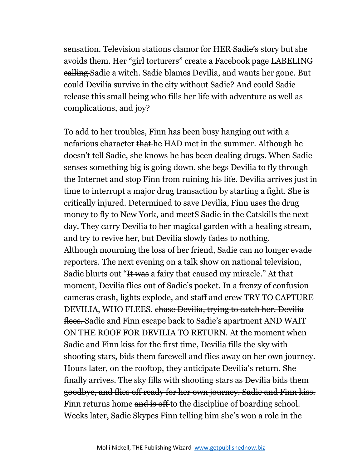sensation. Television stations clamor for HER Sadie's story but she avoids them. Her "girl torturers" create a Facebook page LABELING calling Sadie a witch. Sadie blames Devilia, and wants her gone. But could Devilia survive in the city without Sadie? And could Sadie release this small being who fills her life with adventure as well as complications, and joy?

To add to her troubles, Finn has been busy hanging out with a nefarious character that he HAD met in the summer. Although he doesn't tell Sadie, she knows he has been dealing drugs. When Sadie senses something big is going down, she begs Devilia to fly through the Internet and stop Finn from ruining his life. Devilia arrives just in time to interrupt a major drug transaction by starting a fight. She is critically injured. Determined to save Devilia, Finn uses the drug money to fly to New York, and meetS Sadie in the Catskills the next day. They carry Devilia to her magical garden with a healing stream, and try to revive her, but Devilia slowly fades to nothing. Although mourning the loss of her friend, Sadie can no longer evade reporters. The next evening on a talk show on national television, Sadie blurts out "It was a fairy that caused my miracle." At that moment, Devilia flies out of Sadie's pocket. In a frenzy of confusion cameras crash, lights explode, and staff and crew TRY TO CAPTURE DEVILIA, WHO FLEES. chase Devilia, trying to catch her. Devilia flees. Sadie and Finn escape back to Sadie's apartment AND WAIT ON THE ROOF FOR DEVILIA TO RETURN. At the moment when Sadie and Finn kiss for the first time, Devilia fills the sky with shooting stars, bids them farewell and flies away on her own journey. Hours later, on the rooftop, they anticipate Devilia's return. She finally arrives. The sky fills with shooting stars as Devilia bids them goodbye, and flies off ready for her own journey. Sadie and Finn kiss. Finn returns home and is off-to the discipline of boarding school. Weeks later, Sadie Skypes Finn telling him she's won a role in the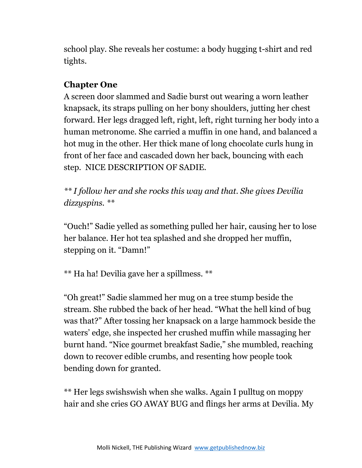school play. She reveals her costume: a body hugging t-shirt and red tights.

### **Chapter One**

A screen door slammed and Sadie burst out wearing a worn leather knapsack, its straps pulling on her bony shoulders, jutting her chest forward. Her legs dragged left, right, left, right turning her body into a human metronome. She carried a muffin in one hand, and balanced a hot mug in the other. Her thick mane of long chocolate curls hung in front of her face and cascaded down her back, bouncing with each step. NICE DESCRIPTION OF SADIE.

*\*\* I follow her and she rocks this way and that. She gives Devilia dizzyspins. \*\** 

"Ouch!" Sadie yelled as something pulled her hair, causing her to lose her balance. Her hot tea splashed and she dropped her muffin, stepping on it. "Damn!"

\*\* Ha ha! Devilia gave her a spillmess. \*\*

"Oh great!" Sadie slammed her mug on a tree stump beside the stream. She rubbed the back of her head. "What the hell kind of bug was that?" After tossing her knapsack on a large hammock beside the waters' edge, she inspected her crushed muffin while massaging her burnt hand. "Nice gourmet breakfast Sadie," she mumbled, reaching down to recover edible crumbs, and resenting how people took bending down for granted.

\*\* Her legs swishswish when she walks. Again I pulltug on moppy hair and she cries GO AWAY BUG and flings her arms at Devilia. My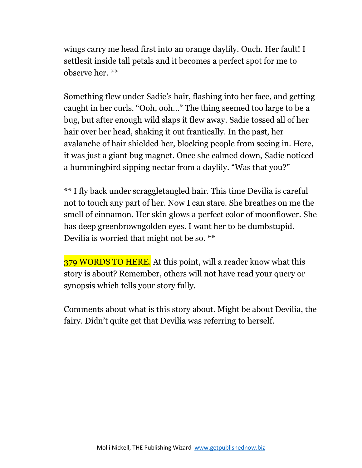wings carry me head first into an orange daylily. Ouch. Her fault! I settlesit inside tall petals and it becomes a perfect spot for me to observe her. \*\*

Something flew under Sadie's hair, flashing into her face, and getting caught in her curls. "Ooh, ooh…" The thing seemed too large to be a bug, but after enough wild slaps it flew away. Sadie tossed all of her hair over her head, shaking it out frantically. In the past, her avalanche of hair shielded her, blocking people from seeing in. Here, it was just a giant bug magnet. Once she calmed down, Sadie noticed a hummingbird sipping nectar from a daylily. "Was that you?"

\*\* I fly back under scraggletangled hair. This time Devilia is careful not to touch any part of her. Now I can stare. She breathes on me the smell of cinnamon. Her skin glows a perfect color of moonflower. She has deep greenbrowngolden eyes. I want her to be dumbstupid. Devilia is worried that might not be so. \*\*

379 WORDS TO HERE. At this point, will a reader know what this story is about? Remember, others will not have read your query or synopsis which tells your story fully.

Comments about what is this story about. Might be about Devilia, the fairy. Didn't quite get that Devilia was referring to herself.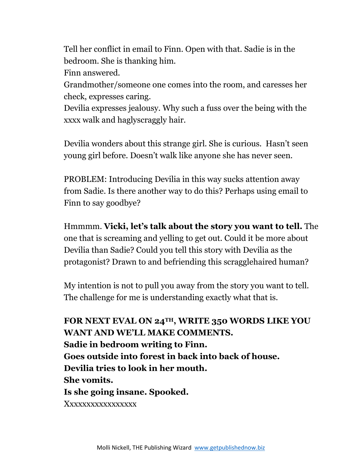Tell her conflict in email to Finn. Open with that. Sadie is in the bedroom. She is thanking him.

Finn answered.

Grandmother/someone one comes into the room, and caresses her check, expresses caring.

Devilia expresses jealousy. Why such a fuss over the being with the xxxx walk and haglyscraggly hair.

Devilia wonders about this strange girl. She is curious. Hasn't seen young girl before. Doesn't walk like anyone she has never seen.

PROBLEM: Introducing Devilia in this way sucks attention away from Sadie. Is there another way to do this? Perhaps using email to Finn to say goodbye?

Hmmmm. **Vicki, let's talk about the story you want to tell.** The one that is screaming and yelling to get out. Could it be more about Devilia than Sadie? Could you tell this story with Devilia as the protagonist? Drawn to and befriending this scragglehaired human?

My intention is not to pull you away from the story you want to tell. The challenge for me is understanding exactly what that is.

**FOR NEXT EVAL ON 24TH, WRITE 350 WORDS LIKE YOU WANT AND WE'LL MAKE COMMENTS. Sadie in bedroom writing to Finn. Goes outside into forest in back into back of house. Devilia tries to look in her mouth. She vomits. Is she going insane. Spooked.**  Xxxxxxxxxxxxxxxxx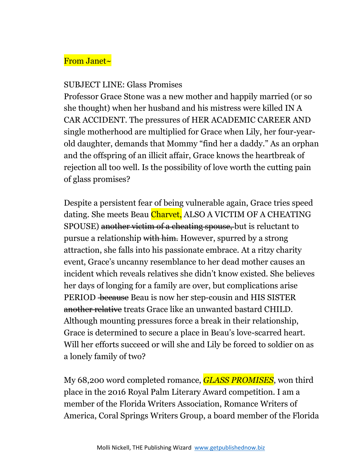## From Janet~

### SUBJECT LINE: Glass Promises

Professor Grace Stone was a new mother and happily married (or so she thought) when her husband and his mistress were killed IN A CAR ACCIDENT. The pressures of HER ACADEMIC CAREER AND single motherhood are multiplied for Grace when Lily, her four-yearold daughter, demands that Mommy "find her a daddy." As an orphan and the offspring of an illicit affair, Grace knows the heartbreak of rejection all too well. Is the possibility of love worth the cutting pain of glass promises?

Despite a persistent fear of being vulnerable again, Grace tries speed dating. She meets Beau Charvet, ALSO A VICTIM OF A CHEATING SPOUSE) another victim of a cheating spouse, but is reluctant to pursue a relationship with him. However, spurred by a strong attraction, she falls into his passionate embrace. At a ritzy charity event, Grace's uncanny resemblance to her dead mother causes an incident which reveals relatives she didn't know existed. She believes her days of longing for a family are over, but complications arise PERIOD because Beau is now her step-cousin and HIS SISTER another relative treats Grace like an unwanted bastard CHILD. Although mounting pressures force a break in their relationship, Grace is determined to secure a place in Beau's love-scarred heart. Will her efforts succeed or will she and Lily be forced to soldier on as a lonely family of two?

My 68,200 word completed romance, *GLASS PROMISES*, won third place in the 2016 Royal Palm Literary Award competition. I am a member of the Florida Writers Association, Romance Writers of America, Coral Springs Writers Group, a board member of the Florida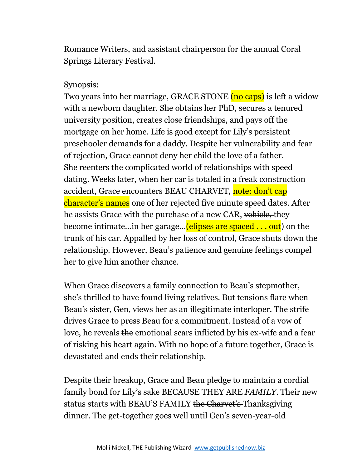Romance Writers, and assistant chairperson for the annual Coral Springs Literary Festival.

#### Synopsis:

Two years into her marriage, GRACE STONE (no caps) is left a widow with a newborn daughter. She obtains her PhD, secures a tenured university position, creates close friendships, and pays off the mortgage on her home. Life is good except for Lily's persistent preschooler demands for a daddy. Despite her vulnerability and fear of rejection, Grace cannot deny her child the love of a father. She reenters the complicated world of relationships with speed dating. Weeks later, when her car is totaled in a freak construction accident, Grace encounters BEAU CHARVET, note: don't cap character's names one of her rejected five minute speed dates. After he assists Grace with the purchase of a new CAR, vehicle, they become intimate...in her garage... (elipses are spaced . . . out) on the trunk of his car. Appalled by her loss of control, Grace shuts down the relationship. However, Beau's patience and genuine feelings compel her to give him another chance.

When Grace discovers a family connection to Beau's stepmother, she's thrilled to have found living relatives. But tensions flare when Beau's sister, Gen, views her as an illegitimate interloper. The strife drives Grace to press Beau for a commitment. Instead of a vow of love, he reveals the emotional scars inflicted by his ex-wife and a fear of risking his heart again. With no hope of a future together, Grace is devastated and ends their relationship.

Despite their breakup, Grace and Beau pledge to maintain a cordial family bond for Lily's sake BECAUSE THEY ARE *FAMILY*. Their new status starts with BEAU'S FAMILY the Charvet's Thanksgiving dinner. The get-together goes well until Gen's seven-year-old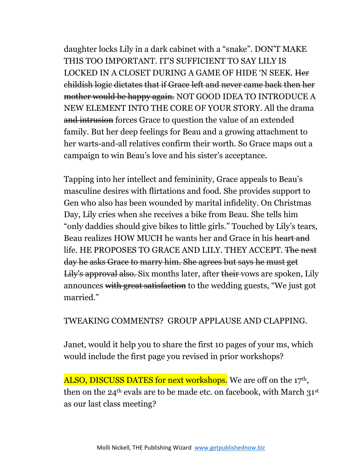daughter locks Lily in a dark cabinet with a "snake". DON'T MAKE THIS TOO IMPORTANT. IT'S SUFFICIENT TO SAY LILY IS LOCKED IN A CLOSET DURING A GAME OF HIDE 'N SEEK. Her childish logic dictates that if Grace left and never came back then her mother would be happy again. NOT GOOD IDEA TO INTRODUCE A NEW ELEMENT INTO THE CORE OF YOUR STORY. All the drama and intrusion forces Grace to question the value of an extended family. But her deep feelings for Beau and a growing attachment to her warts-and-all relatives confirm their worth. So Grace maps out a campaign to win Beau's love and his sister's acceptance.

Tapping into her intellect and femininity, Grace appeals to Beau's masculine desires with flirtations and food. She provides support to Gen who also has been wounded by marital infidelity. On Christmas Day, Lily cries when she receives a bike from Beau. She tells him "only daddies should give bikes to little girls." Touched by Lily's tears, Beau realizes HOW MUCH he wants her and Grace in his heart and life. HE PROPOSES TO GRACE AND LILY. THEY ACCEPT. The next day he asks Grace to marry him. She agrees but says he must get Lily's approval also. Six months later, after their vows are spoken, Lily announces with great satisfaction to the wedding guests, "We just got married."

## TWEAKING COMMENTS? GROUP APPLAUSE AND CLAPPING.

Janet, would it help you to share the first 10 pages of your ms, which would include the first page you revised in prior workshops?

ALSO, DISCUSS DATES for next workshops. We are off on the 17<sup>th</sup>, then on the 24<sup>th</sup> evals are to be made etc. on facebook, with March 31<sup>st</sup> as our last class meeting?